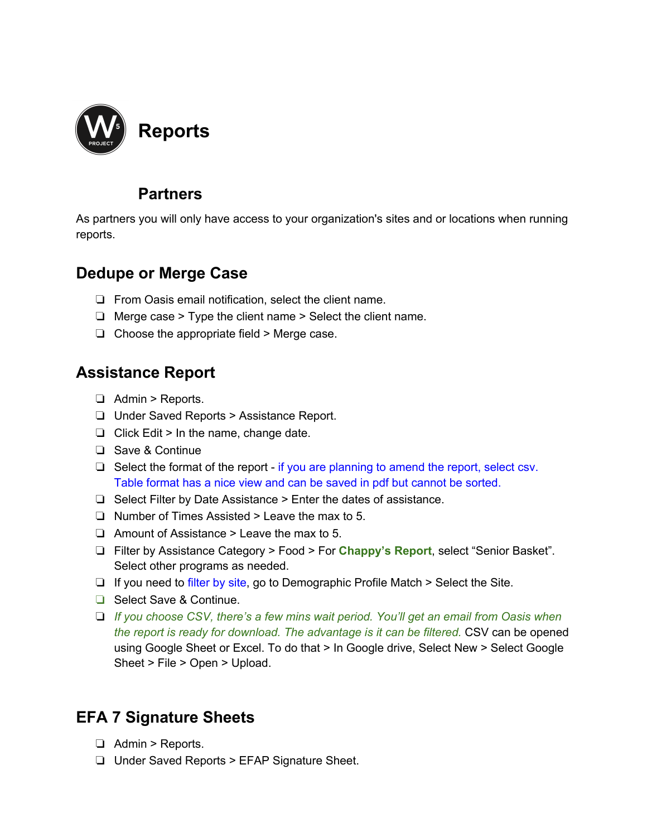

## **Partners**

As partners you will only have access to your organization's sites and or locations when running reports.

# **Dedupe or Merge Case**

- ❏ From Oasis email notification, select the client name.
- ❏ Merge case > Type the client name > Select the client name.
- ❏ Choose the appropriate field > Merge case.

# **Assistance Report**

- ❏ Admin > Reports.
- ❏ Under Saved Reports > Assistance Report.
- $\Box$  Click Edit > In the name, change date.
- ❏ Save & Continue
- ❏ Select the format of the report if you are planning to amend the report, select csv. Table format has a nice view and can be saved in pdf but cannot be sorted.
- ❏ Select Filter by Date Assistance > Enter the dates of assistance.
- ❏ Number of Times Assisted > Leave the max to 5.
- ❏ Amount of Assistance > Leave the max to 5.
- ❏ Filter by Assistance Category > Food > For **Chappy's Report**, select "Senior Basket". Select other programs as needed.
- ❏ If you need to filter by site, go to Demographic Profile Match > Select the Site.
- ❏ Select Save & Continue.
- ❏ *If you choose CSV, there's a few mins wait period. You'll get an email from Oasis when the report is ready for download. The advantage is it can be filtered.* CSV can be opened using Google Sheet or Excel. To do that > In Google drive, Select New > Select Google Sheet > File > Open > Upload.

# **EFA 7 Signature Sheets**

- ❏ Admin > Reports.
- ❏ Under Saved Reports > EFAP Signature Sheet.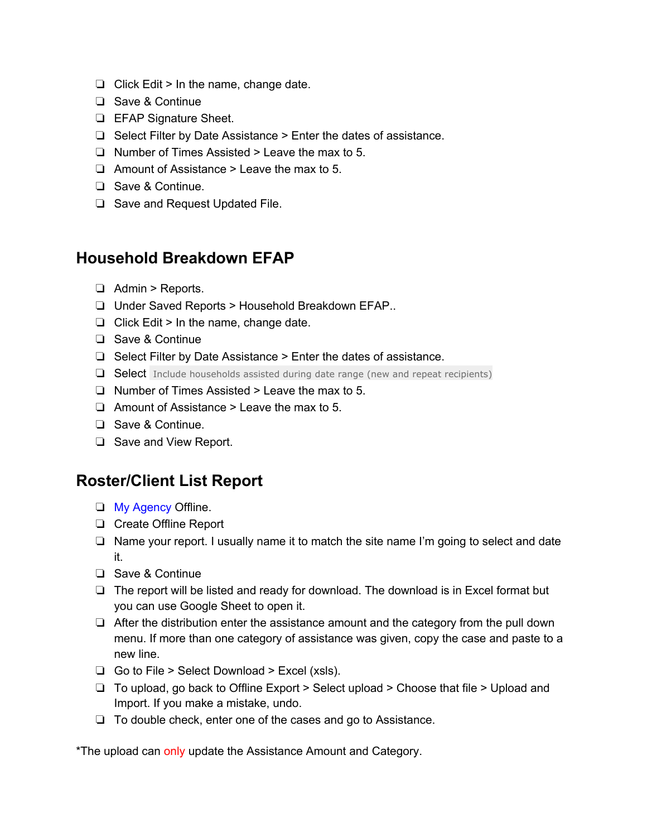- ❏ Click Edit > In the name, change date.
- ❏ Save & Continue
- ❏ EFAP Signature Sheet.
- ❏ Select Filter by Date Assistance > Enter the dates of assistance.
- ❏ Number of Times Assisted > Leave the max to 5.
- ❏ Amount of Assistance > Leave the max to 5.
- ❏ Save & Continue.
- ❏ Save and Request Updated File.

### **Household Breakdown EFAP**

- ❏ Admin > Reports.
- ❏ Under Saved Reports > Household Breakdown EFAP..
- ❏ Click Edit > In the name, change date.
- ❏ Save & Continue
- ❏ Select Filter by Date Assistance > Enter the dates of assistance.
- ❏ Select Include households assisted during date range (new and repeat recipients)
- ❏ Number of Times Assisted > Leave the max to 5.
- ❏ Amount of Assistance > Leave the max to 5.
- ❏ Save & Continue.
- ❏ Save and View Report.

## **Roster/Client List Report**

- ❏ My Agency Offline.
- ❏ Create Offline Report
- ❏ Name your report. I usually name it to match the site name I'm going to select and date it.
- ❏ Save & Continue
- ❏ The report will be listed and ready for download. The download is in Excel format but you can use Google Sheet to open it.
- ❏ After the distribution enter the assistance amount and the category from the pull down menu. If more than one category of assistance was given, copy the case and paste to a new line.
- ❏ Go to File > Select Download > Excel (xsls).
- ❏ To upload, go back to Offline Export > Select upload > Choose that file > Upload and Import. If you make a mistake, undo.
- ❏ To double check, enter one of the cases and go to Assistance.

\*The upload can only update the Assistance Amount and Category.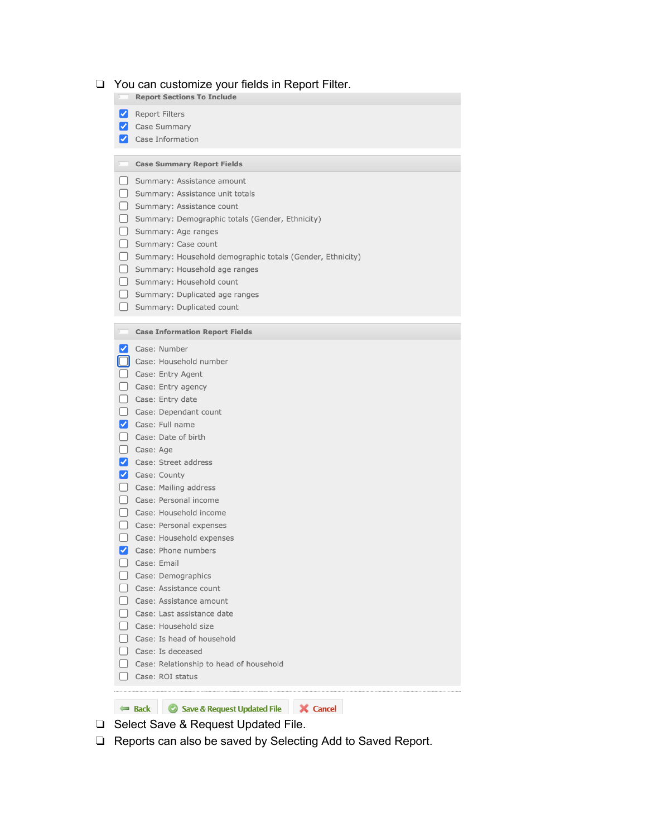#### $\Box$  You can customize your fields in Report Filter.

**Report Sections To Include** 

Report Filters

- Case Summary
- Case Information

#### Case Summary Report Fields

- Summary: Assistance amount
- Summary: Assistance unit totals
- Summary: Assistance count
- Summary: Demographic totals (Gender, Ethnicity)
- Summary: Age ranges
- Summary: Case count
- Summary: Household demographic totals (Gender, Ethnicity)
- Summary: Household age ranges
- Summary: Household count
- Summary: Duplicated age ranges
- Summary: Duplicated count

#### Case Information Report Fields

| $\vert\blacktriangledown\vert$ | Case: Number                            |  |
|--------------------------------|-----------------------------------------|--|
|                                | Case: Household number                  |  |
|                                | Case: Entry Agent                       |  |
|                                | Case: Entry agency                      |  |
|                                | Case: Entry date                        |  |
|                                | Case: Dependant count                   |  |
| ✓                              | Case: Full name                         |  |
|                                | Case: Date of birth                     |  |
|                                | Case: Age                               |  |
| ✓                              | Case: Street address                    |  |
| ✓                              | Case: County                            |  |
|                                | Case: Mailing address                   |  |
|                                | Case: Personal income                   |  |
|                                | Case: Household income                  |  |
|                                | Case: Personal expenses                 |  |
|                                | Case: Household expenses                |  |
| ✓                              | Case: Phone numbers                     |  |
|                                | Case: Email                             |  |
|                                | Case: Demographics                      |  |
|                                | Case: Assistance count                  |  |
|                                | Case: Assistance amount                 |  |
|                                | Case: Last assistance date              |  |
|                                | Case: Household size                    |  |
|                                | Case: Is head of household              |  |
|                                | Case: Is deceased                       |  |
|                                | Case: Relationship to head of household |  |
|                                | Case: ROI status                        |  |

- □ Select Save & Request Updated File.
- Reports can also be saved by Selecting Add to Saved Report.